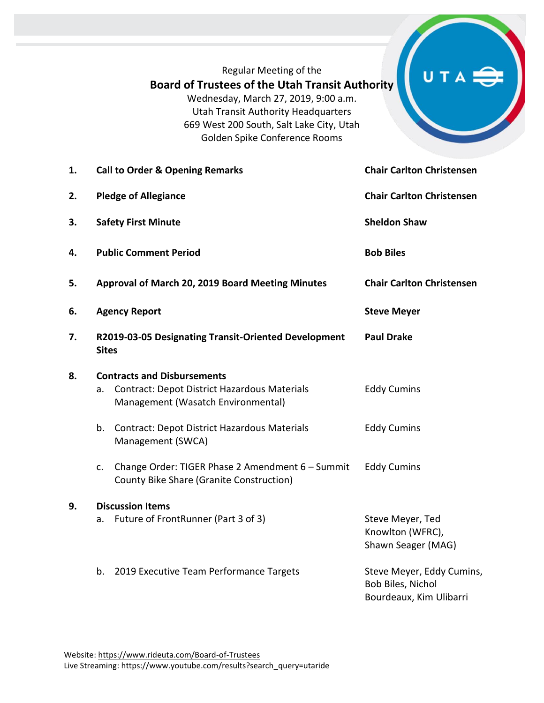## Regular Meeting of the **Board of Trustees of the Utah Transit Authority** Wednesday, March 27, 2019, 9:00 a.m. Utah Transit Authority Headquarters 669 West 200 South, Salt Lake City, Utah Golden Spike Conference Rooms

# U T

| 1. | <b>Call to Order &amp; Opening Remarks</b>                           |                                                                                                                                 | <b>Chair Carlton Christensen</b>                                          |
|----|----------------------------------------------------------------------|---------------------------------------------------------------------------------------------------------------------------------|---------------------------------------------------------------------------|
| 2. | <b>Pledge of Allegiance</b>                                          |                                                                                                                                 | <b>Chair Carlton Christensen</b>                                          |
| 3. | <b>Safety First Minute</b>                                           |                                                                                                                                 | <b>Sheldon Shaw</b>                                                       |
| 4. | <b>Public Comment Period</b>                                         |                                                                                                                                 | <b>Bob Biles</b>                                                          |
| 5. | Approval of March 20, 2019 Board Meeting Minutes                     |                                                                                                                                 | <b>Chair Carlton Christensen</b>                                          |
| 6. | <b>Agency Report</b>                                                 |                                                                                                                                 | <b>Steve Meyer</b>                                                        |
| 7. | R2019-03-05 Designating Transit-Oriented Development<br><b>Sites</b> |                                                                                                                                 | <b>Paul Drake</b>                                                         |
| 8. | a.                                                                   | <b>Contracts and Disbursements</b><br><b>Contract: Depot District Hazardous Materials</b><br>Management (Wasatch Environmental) | <b>Eddy Cumins</b>                                                        |
|    | b.                                                                   | Contract: Depot District Hazardous Materials<br>Management (SWCA)                                                               | <b>Eddy Cumins</b>                                                        |
|    | c.                                                                   | Change Order: TIGER Phase 2 Amendment 6 - Summit<br>County Bike Share (Granite Construction)                                    | <b>Eddy Cumins</b>                                                        |
| 9. | <b>Discussion Items</b>                                              |                                                                                                                                 |                                                                           |
|    | a.                                                                   | Future of FrontRunner (Part 3 of 3)                                                                                             | Steve Meyer, Ted<br>Knowlton (WFRC),<br>Shawn Seager (MAG)                |
|    | b.                                                                   | 2019 Executive Team Performance Targets                                                                                         | Steve Meyer, Eddy Cumins,<br>Bob Biles, Nichol<br>Bourdeaux, Kim Ulibarri |